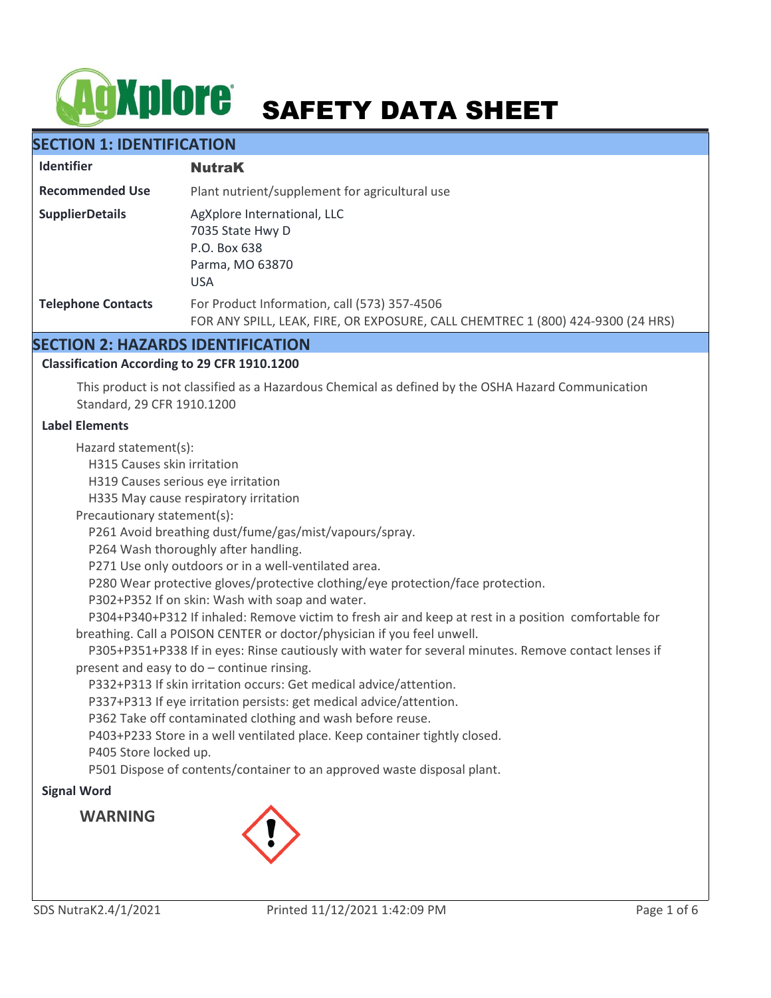# **AgXplore** SAFETY DATA SHEET

# **SECTION 1: IDENTIFICATION**

| <b>Identifier</b>         | <b>NutraK</b>                                                                                                                   |  |
|---------------------------|---------------------------------------------------------------------------------------------------------------------------------|--|
| <b>Recommended Use</b>    | Plant nutrient/supplement for agricultural use                                                                                  |  |
| <b>SupplierDetails</b>    | AgXplore International, LLC<br>7035 State Hwy D<br>P.O. Box 638<br>Parma, MO 63870<br><b>USA</b>                                |  |
| <b>Telephone Contacts</b> | For Product Information, call (573) 357-4506<br>FOR ANY SPILL, LEAK, FIRE, OR EXPOSURE, CALL CHEMTREC 1 (800) 424-9300 (24 HRS) |  |

# **SECTION 2: HAZARDS IDENTIFICATION**

## **Classification According to 29 CFR 1910.1200**

This product is not classified as a Hazardous Chemical as defined by the OSHA Hazard Communication Standard, 29 CFR 1910.1200

### **Label Elements**

Hazard statement(s):

H315 Causes skin irritation

H319 Causes serious eye irritation

H335 May cause respiratory irritation

Precautionary statement(s):

P261 Avoid breathing dust/fume/gas/mist/vapours/spray.

P264 Wash thoroughly after handling.

P271 Use only outdoors or in a well-ventilated area.

P280 Wear protective gloves/protective clothing/eye protection/face protection.

P302+P352 If on skin: Wash with soap and water.

 P304+P340+P312 If inhaled: Remove victim to fresh air and keep at rest in a position comfortable for breathing. Call a POISON CENTER or doctor/physician if you feel unwell.

 P305+P351+P338 If in eyes: Rinse cautiously with water for several minutes. Remove contact lenses if present and easy to do – continue rinsing.

P332+P313 If skin irritation occurs: Get medical advice/attention.

P337+P313 If eye irritation persists: get medical advice/attention.

P362 Take off contaminated clothing and wash before reuse.

P403+P233 Store in a well ventilated place. Keep container tightly closed.

P405 Store locked up.

P501 Dispose of contents/container to an approved waste disposal plant.

## **Signal Word**

**WARNING**

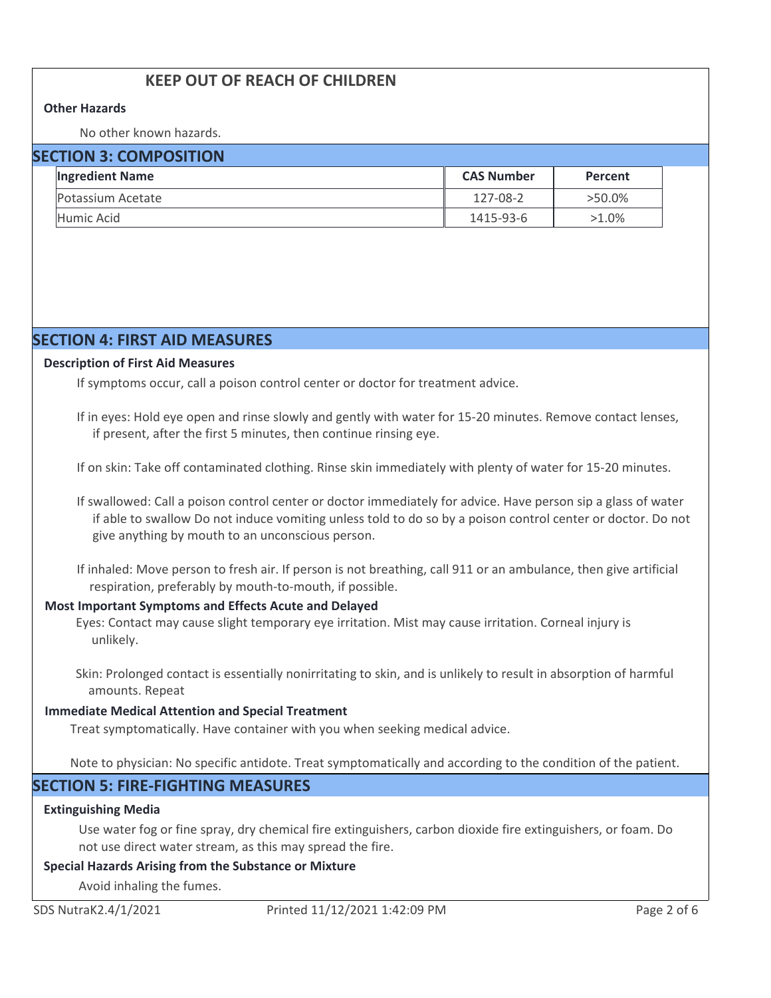# **KEEP OUT OF REACH OF CHILDREN**

### **Other Hazards**

No other known hazards.

| <b>SECTION 3: COMPOSITION</b> |                        |                   |           |  |  |
|-------------------------------|------------------------|-------------------|-----------|--|--|
|                               | <b>Ingredient Name</b> | <b>CAS Number</b> | Percent   |  |  |
|                               | Potassium Acetate      | $127 - 08 - 2$    | $>50.0\%$ |  |  |
|                               | Humic Acid             | 1415-93-6         | $>1.0\%$  |  |  |

## **SECTION 4: FIRST AID MEASURES**

#### **Description of First Aid Measures**

If symptoms occur, call a poison control center or doctor for treatment advice.

If in eyes: Hold eye open and rinse slowly and gently with water for 15-20 minutes. Remove contact lenses, if present, after the first 5 minutes, then continue rinsing eye.

If on skin: Take off contaminated clothing. Rinse skin immediately with plenty of water for 15-20 minutes.

If swallowed: Call a poison control center or doctor immediately for advice. Have person sip a glass of water if able to swallow Do not induce vomiting unless told to do so by a poison control center or doctor. Do not give anything by mouth to an unconscious person.

If inhaled: Move person to fresh air. If person is not breathing, call 911 or an ambulance, then give artificial respiration, preferably by mouth-to-mouth, if possible.

### **Most Important Symptoms and Effects Acute and Delayed**

Eyes: Contact may cause slight temporary eye irritation. Mist may cause irritation. Corneal injury is unlikely.

Skin: Prolonged contact is essentially nonirritating to skin, and is unlikely to result in absorption of harmful amounts. Repeat

### **Immediate Medical Attention and Special Treatment**

Treat symptomatically. Have container with you when seeking medical advice.

Note to physician: No specific antidote. Treat symptomatically and according to the condition of the patient.

# **SECTION 5: FIRE-FIGHTING MEASURES**

#### **Extinguishing Media**

Use water fog or fine spray, dry chemical fire extinguishers, carbon dioxide fire extinguishers, or foam. Do not use direct water stream, as this may spread the fire.

### **Special Hazards Arising from the Substance or Mixture**

Avoid inhaling the fumes.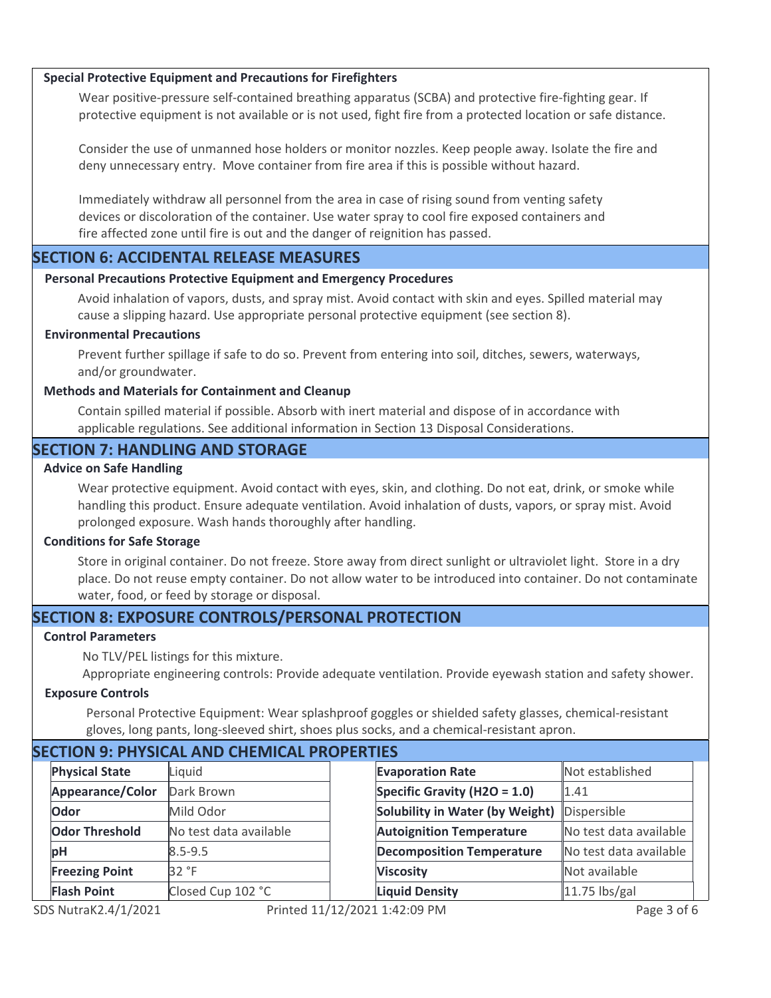### **Special Protective Equipment and Precautions for Firefighters**

Wear positive-pressure self-contained breathing apparatus (SCBA) and protective fire-fighting gear. If protective equipment is not available or is not used, fight fire from a protected location or safe distance.

Consider the use of unmanned hose holders or monitor nozzles. Keep people away. Isolate the fire and deny unnecessary entry. Move container from fire area if this is possible without hazard.

Immediately withdraw all personnel from the area in case of rising sound from venting safety devices or discoloration of the container. Use water spray to cool fire exposed containers and fire affected zone until fire is out and the danger of reignition has passed.

## **SECTION 6: ACCIDENTAL RELEASE MEASURES**

### **Personal Precautions Protective Equipment and Emergency Procedures**

Avoid inhalation of vapors, dusts, and spray mist. Avoid contact with skin and eyes. Spilled material may cause a slipping hazard. Use appropriate personal protective equipment (see section 8).

### **Environmental Precautions**

Prevent further spillage if safe to do so. Prevent from entering into soil, ditches, sewers, waterways, and/or groundwater.

### **Methods and Materials for Containment and Cleanup**

Contain spilled material if possible. Absorb with inert material and dispose of in accordance with applicable regulations. See additional information in Section 13 Disposal Considerations.

## **SECTION 7: HANDLING AND STORAGE**

### **Advice on Safe Handling**

Wear protective equipment. Avoid contact with eyes, skin, and clothing. Do not eat, drink, or smoke while handling this product. Ensure adequate ventilation. Avoid inhalation of dusts, vapors, or spray mist. Avoid prolonged exposure. Wash hands thoroughly after handling.

#### **Conditions for Safe Storage**

Store in original container. Do not freeze. Store away from direct sunlight or ultraviolet light. Store in a dry place. Do not reuse empty container. Do not allow water to be introduced into container. Do not contaminate water, food, or feed by storage or disposal.

# **SECTION 8: EXPOSURE CONTROLS/PERSONAL PROTECTION**

### **Control Parameters**

No TLV/PEL listings for this mixture.

Appropriate engineering controls: Provide adequate ventilation. Provide eyewash station and safety shower.

### **Exposure Controls**

Personal Protective Equipment: Wear splashproof goggles or shielded safety glasses, chemical-resistant gloves, long pants, long-sleeved shirt, shoes plus socks, and a chemical-resistant apron.

| <b>SECTION 9: PHYSICAL AND CHEMICAL PROPERTIES</b> |                       |                        |  |                                  |                        |  |
|----------------------------------------------------|-----------------------|------------------------|--|----------------------------------|------------------------|--|
|                                                    | <b>Physical State</b> | Liquid                 |  | <b>Evaporation Rate</b>          | Not established        |  |
|                                                    | Appearance/Color      | Dark Brown             |  | Specific Gravity (H2O = $1.0$ )  | 1.41                   |  |
|                                                    | Odor                  | Mild Odor              |  | Solubility in Water (by Weight)  | Dispersible            |  |
|                                                    | <b>Odor Threshold</b> | No test data available |  | <b>Autoignition Temperature</b>  | No test data available |  |
|                                                    | pH                    | $8.5 - 9.5$            |  | <b>Decomposition Temperature</b> | No test data available |  |
|                                                    | <b>Freezing Point</b> | 32 °F                  |  | <b>Viscosity</b>                 | Not available          |  |
|                                                    | <b>Flash Point</b>    | Closed Cup 102 °C      |  | <b>Liquid Density</b>            | 11.75 lbs/gal          |  |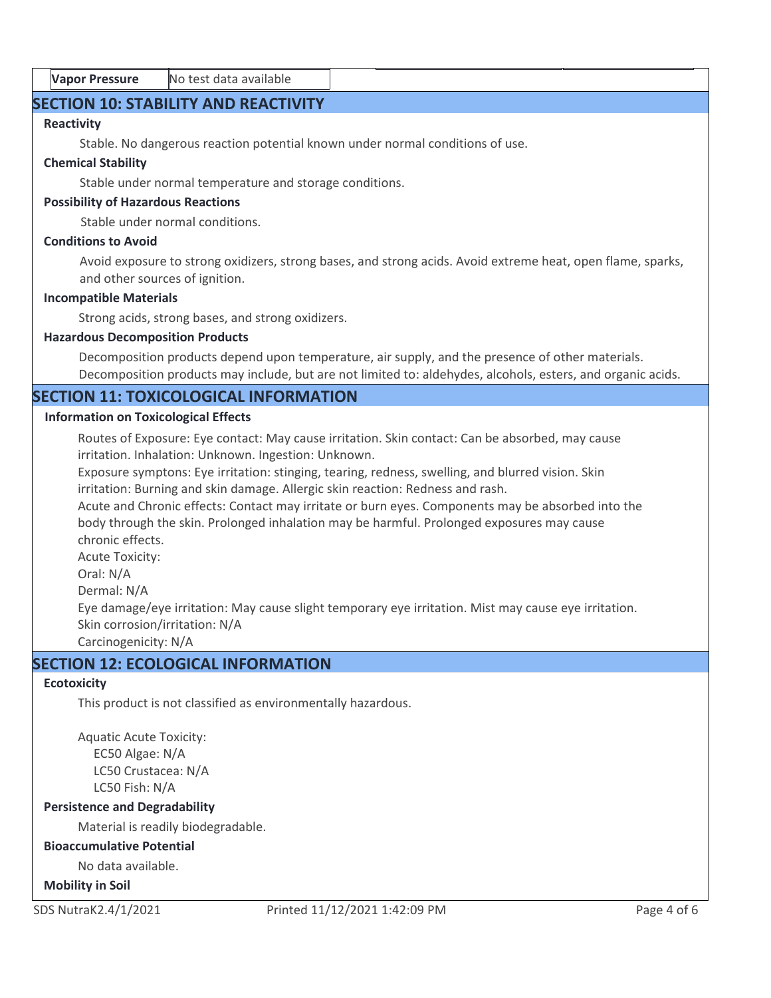| <b>Vapor Pressure</b> | No test data available |
|-----------------------|------------------------|
|-----------------------|------------------------|

# **SECTION 10: STABILITY AND REACTIVITY**

Closed Cup 102 °C

# **Reactivity**

Stable. No dangerous reaction potential known under normal conditions of use.

**Flash Point Liquid Density** 11.75 lbs/gal

# **Chemical Stability**

Stable under normal temperature and storage conditions.

# **Possibility of Hazardous Reactions**

Stable under normal conditions.

# **Conditions to Avoid**

Avoid exposure to strong oxidizers, strong bases, and strong acids. Avoid extreme heat, open flame, sparks, and other sources of ignition.

# **Incompatible Materials**

Strong acids, strong bases, and strong oxidizers.

# **Hazardous Decomposition Products**

Decomposition products depend upon temperature, air supply, and the presence of other materials. Decomposition products may include, but are not limited to: aldehydes, alcohols, esters, and organic acids.

# **SECTION 11: TOXICOLOGICAL INFORMATION**

# **Information on Toxicological Effects**

Routes of Exposure: Eye contact: May cause irritation. Skin contact: Can be absorbed, may cause irritation. Inhalation: Unknown. Ingestion: Unknown.

Exposure symptons: Eye irritation: stinging, tearing, redness, swelling, and blurred vision. Skin irritation: Burning and skin damage. Allergic skin reaction: Redness and rash.

Acute and Chronic effects: Contact may irritate or burn eyes. Components may be absorbed into the body through the skin. Prolonged inhalation may be harmful. Prolonged exposures may cause chronic effects.

Acute Toxicity:

Oral: N/A

Dermal: N/A

Eye damage/eye irritation: May cause slight temporary eye irritation. Mist may cause eye irritation. Skin corrosion/irritation: N/A

Carcinogenicity: N/A

# **SECTION 12: ECOLOGICAL INFORMATION**

# **Ecotoxicity**

This product is not classified as environmentally hazardous.

Aquatic Acute Toxicity: EC50 Algae: N/A LC50 Crustacea: N/A LC50 Fish: N/A

# **Persistence and Degradability**

Material is readily biodegradable.

# **Bioaccumulative Potential**

No data available.

# **Mobility in Soil**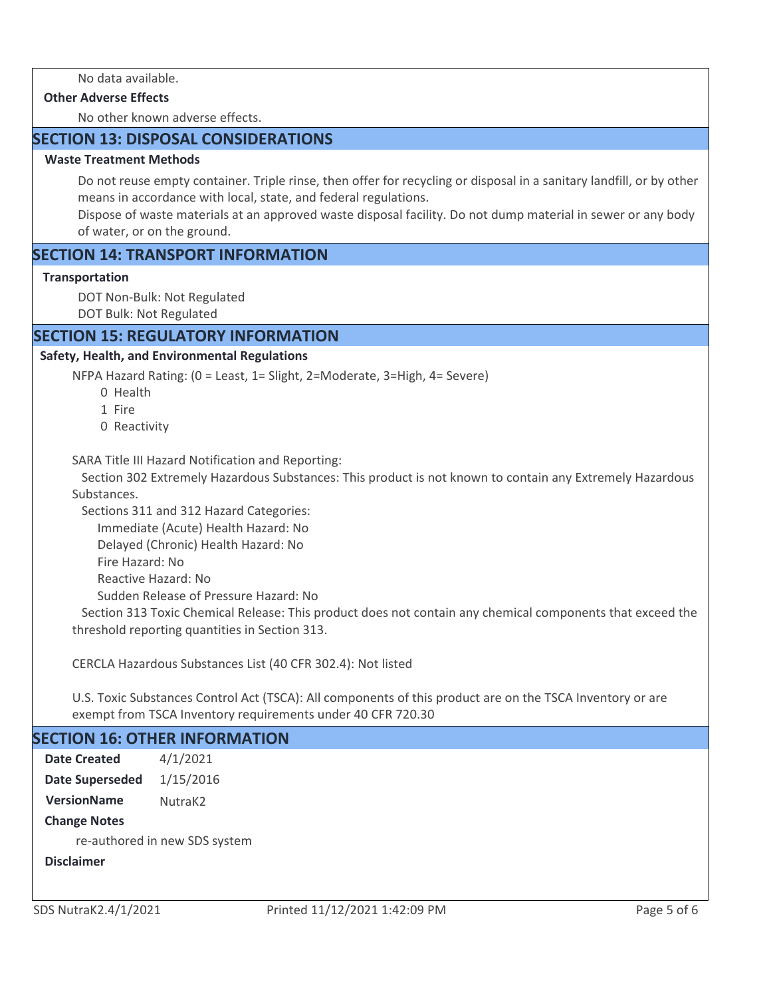### **Other Adverse Effects**

No other known adverse effects.

# **SECTION 13: DISPOSAL CONSIDERATIONS**

### **Waste Treatment Methods**

Do not reuse empty container. Triple rinse, then offer for recycling or disposal in a sanitary landfill, or by other means in accordance with local, state, and federal regulations.

Dispose of waste materials at an approved waste disposal facility. Do not dump material in sewer or any body of water, or on the ground.

# **SECTION 14: TRANSPORT INFORMATION**

### **Transportation**

DOT Non-Bulk: Not Regulated

DOT Bulk: Not Regulated

# **SECTION 15: REGULATORY INFORMATION**

### **Safety, Health, and Environmental Regulations**

NFPA Hazard Rating: (0 = Least, 1= Slight, 2=Moderate, 3=High, 4= Severe)

- 0 Health
- 1 Fire
- 0 Reactivity

SARA Title III Hazard Notification and Reporting:

 Section 302 Extremely Hazardous Substances: This product is not known to contain any Extremely Hazardous Substances.

Sections 311 and 312 Hazard Categories:

Immediate (Acute) Health Hazard: No

Delayed (Chronic) Health Hazard: No

Fire Hazard: No

Reactive Hazard: No

Sudden Release of Pressure Hazard: No

 Section 313 Toxic Chemical Release: This product does not contain any chemical components that exceed the threshold reporting quantities in Section 313.

CERCLA Hazardous Substances List (40 CFR 302.4): Not listed

U.S. Toxic Substances Control Act (TSCA): All components of this product are on the TSCA Inventory or are exempt from TSCA Inventory requirements under 40 CFR 720.30

# **SECTION 16: OTHER INFORMATION**

4/1/2021 Date Superseded 1/15/2016 **Date Created**

**VersionName** NutraK2

**Change Notes**

re-authored in new SDS system

**Disclaimer**